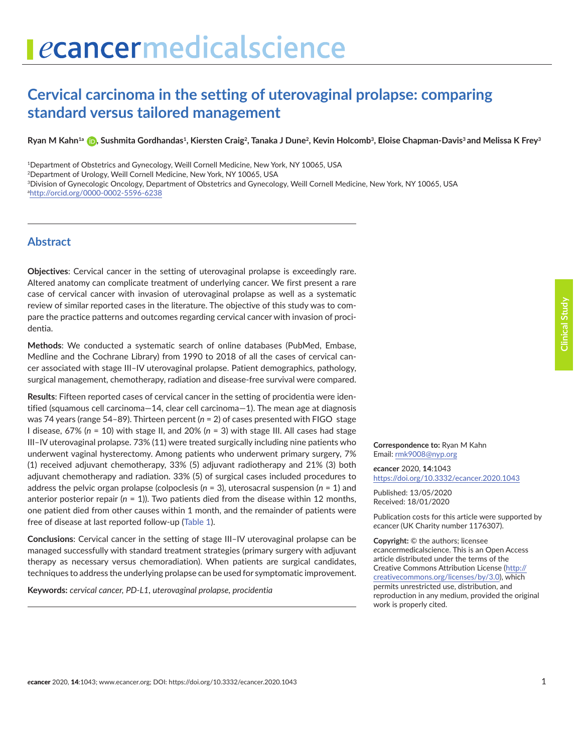# **Cervical carcinoma in the setting of uterovaginal prolapse: comparing standard versus tailored management**

Ryan M Kahn<sup>1a</sup> **D**[,](http://orcid.org/0000-0002-5596-6238) Sushmita Gordhandas<sup>1</sup>, Kiersten Craig<sup>2</sup>, Tanaka J Dune<sup>2</sup>, Kevin Holcomb<sup>3</sup>, Eloise Chapman-Davis<sup>3</sup> and Melissa K Frey<sup>3</sup>

1Department of Obstetrics and Gynecology, Weill Cornell Medicine, New York, NY 10065, USA

2Department of Urology, Weill Cornell Medicine, New York, NY 10065, USA

3Division of Gynecologic Oncology, Department of Obstetrics and Gynecology, Weill Cornell Medicine, New York, NY 10065, USA a <http://orcid.org/0000-0002-5596-6238>

#### **Abstract**

**Objectives**: Cervical cancer in the setting of uterovaginal prolapse is exceedingly rare. Altered anatomy can complicate treatment of underlying cancer. We first present a rare case of cervical cancer with invasion of uterovaginal prolapse as well as a systematic review of similar reported cases in the literature. The objective of this study was to compare the practice patterns and outcomes regarding cervical cancer with invasion of procidentia.

**Methods**: We conducted a systematic search of online databases (PubMed, Embase, Medline and the Cochrane Library) from 1990 to 2018 of all the cases of cervical cancer associated with stage III–IV uterovaginal prolapse. Patient demographics, pathology, surgical management, chemotherapy, radiation and disease-free survival were compared.

**Results**: Fifteen reported cases of cervical cancer in the setting of procidentia were identified (squamous cell carcinoma—14, clear cell carcinoma—1). The mean age at diagnosis was 74 years (range 54–89). Thirteen percent (*n* = 2) of cases presented with FIGO stage I disease, 67% (*n* = 10) with stage II, and 20% (*n* = 3) with stage III. All cases had stage III–IV uterovaginal prolapse. 73% (11) were treated surgically including nine patients who underwent vaginal hysterectomy. Among patients who underwent primary surgery, 7% (1) received adjuvant chemotherapy, 33% (5) adjuvant radiotherapy and 21% (3) both adjuvant chemotherapy and radiation. 33% (5) of surgical cases included procedures to address the pelvic organ prolapse (colpoclesis (*n* = 3), uterosacral suspension (*n* = 1) and anterior posterior repair  $(n = 1)$ ). Two patients died from the disease within 12 months, one patient died from other causes within 1 month, and the remainder of patients were free of disease at last reported follow-up ([Table 1\)](#page-5-0).

**Conclusions**: Cervical cancer in the setting of stage III–IV uterovaginal prolapse can be managed successfully with standard treatment strategies (primary surgery with adjuvant therapy as necessary versus chemoradiation). When patients are surgical candidates, techniques to address the underlying prolapse can be used for symptomatic improvement.

**Keywords:** *cervical cancer, PD-L1, uterovaginal prolapse, procidentia*

**Correspondence to:** Ryan M Kahn Email: [rmk9008@nyp.org](mailto:rmk9008@nyp.org)

*e***cancer** 2020, **14**:1043 [https://doi.org/10.3332/ecancer.2020.104](https://doi.org/10.3332/ecancer.2020.1043)3

Published: 13/05/2020 Received: 18/01/2020

Publication costs for this article were supported by *e*cancer (UK Charity number 1176307).

**Copyright:** © the authors; licensee *e*cancermedicalscience. This is an Open Access article distributed under the terms of the Creative Commons Attribution License [\(http://](http://creativecommons.org/licenses/by/3.0) [creativecommons.org/licenses/by/3.0\)](http://creativecommons.org/licenses/by/3.0), which permits unrestricted use, distribution, and reproduction in any medium, provided the original work is properly cited.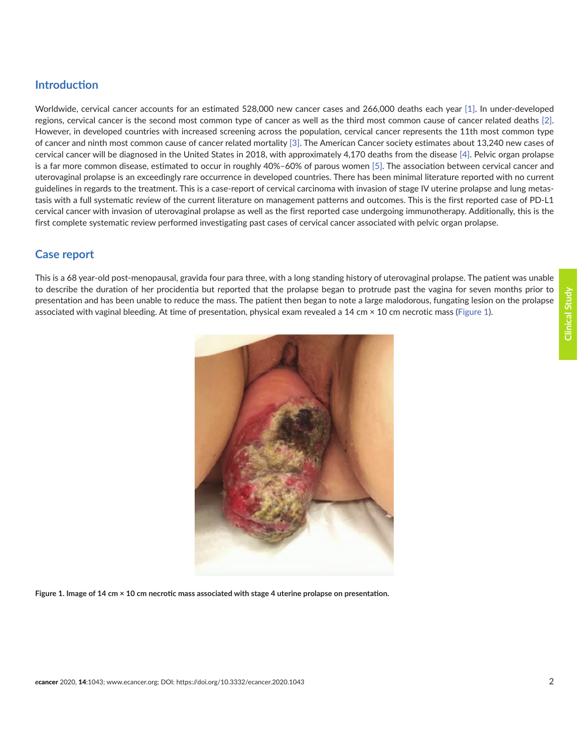# **Introduction**

Worldwide, cervical cancer accounts for an estimated 528,000 new cancer cases and 266,000 deaths each year [\[1\].](#page-6-0) In under-developed regions, cervical cancer is the second most common type of cancer as well as the third most common cause of cancer related deaths [\[2\].](#page-6-0) However, in developed countries with increased screening across the population, cervical cancer represents the 11th most common type of cancer and ninth most common cause of cancer related mortality [\[3\]](#page-6-0). The American Cancer society estimates about 13,240 new cases of cervical cancer will be diagnosed in the United States in 2018, with approximately 4,170 deaths from the disease [\[4\]](#page-6-0). Pelvic organ prolapse is a far more common disease, estimated to occur in roughly 40%–60% of parous women [\[5\]](#page-6-0). The association between cervical cancer and uterovaginal prolapse is an exceedingly rare occurrence in developed countries. There has been minimal literature reported with no current guidelines in regards to the treatment. This is a case-report of cervical carcinoma with invasion of stage IV uterine prolapse and lung metastasis with a full systematic review of the current literature on management patterns and outcomes. This is the first reported case of PD-L1 cervical cancer with invasion of uterovaginal prolapse as well as the first reported case undergoing immunotherapy. Additionally, this is the first complete systematic review performed investigating past cases of cervical cancer associated with pelvic organ prolapse.

# **Case report**

This is a 68 year-old post-menopausal, gravida four para three, with a long standing history of uterovaginal prolapse. The patient was unable to describe the duration of her procidentia but reported that the prolapse began to protrude past the vagina for seven months prior to presentation and has been unable to reduce the mass. The patient then began to note a large malodorous, fungating lesion on the prolapse associated with vaginal bleeding. At time of presentation, physical exam revealed a 14 cm  $\times$  10 cm necrotic mass (Figure 1).



**Figure 1. Image of 14 cm × 10 cm necrotic mass associated with stage 4 uterine prolapse on presentation.**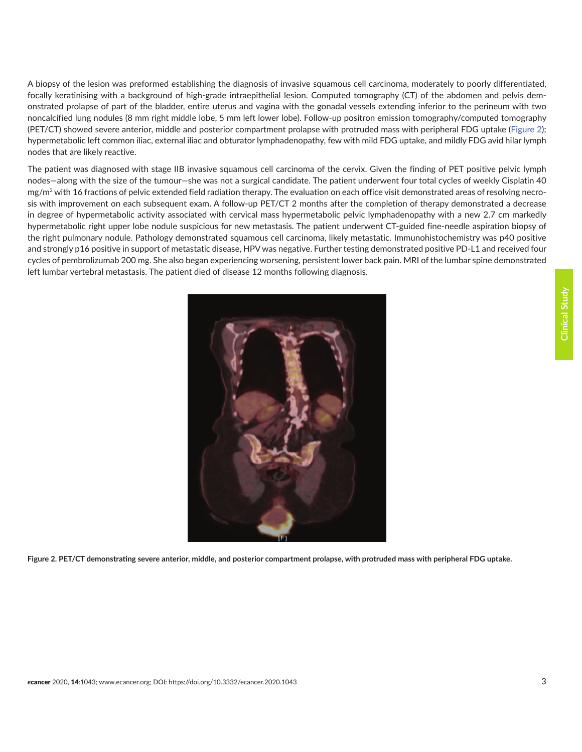A biopsy of the lesion was preformed establishing the diagnosis of invasive squamous cell carcinoma, moderately to poorly differentiated, focally keratinising with a background of high-grade intraepithelial lesion. Computed tomography (CT) of the abdomen and pelvis demonstrated prolapse of part of the bladder, entire uterus and vagina with the gonadal vessels extending inferior to the perineum with two noncalcified lung nodules (8 mm right middle lobe, 5 mm left lower lobe). Follow-up positron emission tomography/computed tomography (PET/CT) showed severe anterior, middle and posterior compartment prolapse with protruded mass with peripheral FDG uptake (Figure 2); hypermetabolic left common iliac, external iliac and obturator lymphadenopathy, few with mild FDG uptake, and mildly FDG avid hilar lymph nodes that are likely reactive.

The patient was diagnosed with stage IIB invasive squamous cell carcinoma of the cervix. Given the finding of PET positive pelvic lymph nodes—along with the size of the tumour—she was not a surgical candidate. The patient underwent four total cycles of weekly Cisplatin 40 mg/m<sup>2</sup> with 16 fractions of pelvic extended field radiation therapy. The evaluation on each office visit demonstrated areas of resolving necrosis with improvement on each subsequent exam. A follow-up PET/CT 2 months after the completion of therapy demonstrated a decrease in degree of hypermetabolic activity associated with cervical mass hypermetabolic pelvic lymphadenopathy with a new 2.7 cm markedly hypermetabolic right upper lobe nodule suspicious for new metastasis. The patient underwent CT-guided fine-needle aspiration biopsy of the right pulmonary nodule. Pathology demonstrated squamous cell carcinoma, likely metastatic. Immunohistochemistry was p40 positive and strongly p16 positive in support of metastatic disease, HPV was negative. Further testing demonstrated positive PD-L1 and received four cycles of pembrolizumab 200 mg. She also began experiencing worsening, persistent lower back pain. MRI of the lumbar spine demonstrated left lumbar vertebral metastasis. The patient died of disease 12 months following diagnosis.



**Figure 2. PET/CT demonstrating severe anterior, middle, and posterior compartment prolapse, with protruded mass with peripheral FDG uptake.**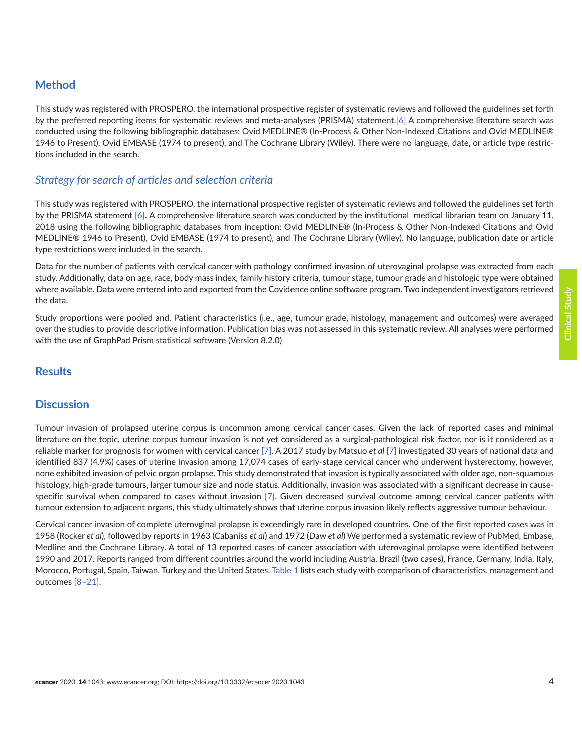# **Method**

This study was registered with PROSPERO, the international prospective register of systematic reviews and followed the guidelines set forth by the preferred reporting items for systematic reviews and meta-analyses (PRISMA) statement.[\[6\]](#page-6-0) A comprehensive literature search was conducted using the following bibliographic databases: Ovid MEDLINE® (In-Process & Other Non-Indexed Citations and Ovid MEDLINE® 1946 to Present), Ovid EMBASE (1974 to present), and The Cochrane Library (Wiley). There were no language, date, or article type restrictions included in the search.

#### *Strategy for search of articles and selection criteria*

This study was registered with PROSPERO, the international prospective register of systematic reviews and followed the guidelines set forth by the PRISMA statement [\[6\].](#page-6-0) A comprehensive literature search was conducted by the institutional medical librarian team on January 11, 2018 using the following bibliographic databases from inception: Ovid MEDLINE® (In-Process & Other Non-Indexed Citations and Ovid MEDLINE® 1946 to Present), Ovid EMBASE (1974 to present), and The Cochrane Library (Wiley). No language, publication date or article type restrictions were included in the search.

Data for the number of patients with cervical cancer with pathology confirmed invasion of uterovaginal prolapse was extracted from each study. Additionally, data on age, race, body mass index, family history criteria, tumour stage, tumour grade and histologic type were obtained where available. Data were entered into and exported from the Covidence online software program. Two independent investigators retrieved the data.

Study proportions were pooled and. Patient characteristics (i.e., age, tumour grade, histology, management and outcomes) were averaged over the studies to provide descriptive information. Publication bias was not assessed in this systematic review. All analyses were performed with the use of GraphPad Prism statistical software (Version 8.2.0)

### **Results**

#### **Discussion**

Tumour invasion of prolapsed uterine corpus is uncommon among cervical cancer cases. Given the lack of reported cases and minimal literature on the topic, uterine corpus tumour invasion is not yet considered as a surgical-pathological risk factor, nor is it considered as a reliable marker for prognosis for women with cervical cancer [\[7\].](#page-6-0) A 2017 study by Matsuo *et al* [\[7\]](#page-6-0) investigated 30 years of national data and identified 837 (4.9%) cases of uterine invasion among 17,074 cases of early-stage cervical cancer who underwent hysterectomy, however, none exhibited invasion of pelvic organ prolapse. This study demonstrated that invasion is typically associated with older age, non-squamous histology, high-grade tumours, larger tumour size and node status. Additionally, invasion was associated with a significant decrease in causespecific survival when compared to cases without invasion [\[7\]](#page-6-0). Given decreased survival outcome among cervical cancer patients with tumour extension to adjacent organs, this study ultimately shows that uterine corpus invasion likely reflects aggressive tumour behaviour.

Cervical cancer invasion of complete uterovginal prolapse is exceedingly rare in developed countries. One of the first reported cases was in 1958 (Rocker *et al*), followed by reports in 1963 (Cabaniss *et al*) and 1972 (Daw *et al*) We performed a systematic review of PubMed, Embase, Medline and the Cochrane Library. A total of 13 reported cases of cancer association with uterovaginal prolapse were identified between 1990 and 2017. Reports ranged from different countries around the world including Austria, Brazil (two cases), France, Germany, India, Italy, Morocco, Portugal, Spain, Taiwan, Turkey and the United States. [Table 1](#page-5-0) lists each study with comparison of characteristics, management and outcomes [\[8–](#page-6-0)[21\]](#page-7-0).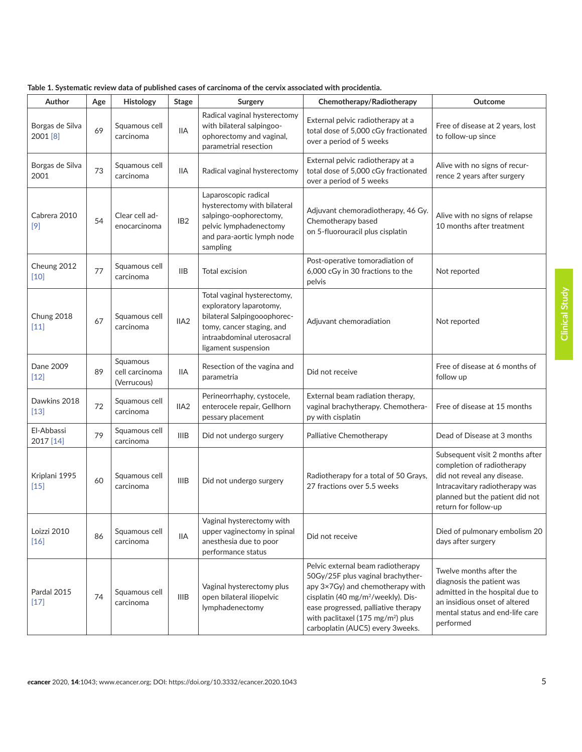| Author                      | Age | Histology                                 | Stage            | rabic 1. Jystematic review data or published cases or caremonia or the cervix associated with proclucifical<br>Surgery                                                  | Chemotherapy/Radiotherapy                                                                                                                                                                                                                                                                | Outcome                                                                                                                                                                                   |
|-----------------------------|-----|-------------------------------------------|------------------|-------------------------------------------------------------------------------------------------------------------------------------------------------------------------|------------------------------------------------------------------------------------------------------------------------------------------------------------------------------------------------------------------------------------------------------------------------------------------|-------------------------------------------------------------------------------------------------------------------------------------------------------------------------------------------|
| Borgas de Silva<br>2001 [8] | 69  | Squamous cell<br>carcinoma                | ΙIΑ              | Radical vaginal hysterectomy<br>with bilateral salpingoo-<br>ophorectomy and vaginal,<br>parametrial resection                                                          | External pelvic radiotherapy at a<br>total dose of 5,000 cGy fractionated<br>over a period of 5 weeks                                                                                                                                                                                    | Free of disease at 2 years, lost<br>to follow-up since                                                                                                                                    |
| Borgas de Silva<br>2001     | 73  | Squamous cell<br>carcinoma                | <b>IIA</b>       | Radical vaginal hysterectomy                                                                                                                                            | External pelvic radiotherapy at a<br>total dose of 5,000 cGy fractionated<br>over a period of 5 weeks                                                                                                                                                                                    | Alive with no signs of recur-<br>rence 2 years after surgery                                                                                                                              |
| Cabrera 2010<br>$[9]$       | 54  | Clear cell ad-<br>enocarcinoma            | IB <sub>2</sub>  | Laparoscopic radical<br>hysterectomy with bilateral<br>salpingo-oophorectomy,<br>pelvic lymphadenectomy<br>and para-aortic lymph node<br>sampling                       | Adjuvant chemoradiotherapy, 46 Gy.<br>Chemotherapy based<br>on 5-fluorouracil plus cisplatin                                                                                                                                                                                             | Alive with no signs of relapse<br>10 months after treatment                                                                                                                               |
| Cheung 2012<br>$[10]$       | 77  | Squamous cell<br>carcinoma                | IIВ              | Total excision                                                                                                                                                          | Post-operative tomoradiation of<br>6,000 cGy in 30 fractions to the<br>pelvis                                                                                                                                                                                                            | Not reported                                                                                                                                                                              |
| Chung 2018<br>$[11]$        | 67  | Squamous cell<br>carcinoma                | IIA <sub>2</sub> | Total vaginal hysterectomy,<br>exploratory laparotomy,<br>bilateral Salpingooophorec-<br>tomy, cancer staging, and<br>intraabdominal uterosacral<br>ligament suspension | Adjuvant chemoradiation                                                                                                                                                                                                                                                                  | Not reported                                                                                                                                                                              |
| Dane 2009<br>$[12]$         | 89  | Squamous<br>cell carcinoma<br>(Verrucous) | <b>IIA</b>       | Resection of the vagina and<br>parametria                                                                                                                               | Did not receive                                                                                                                                                                                                                                                                          | Free of disease at 6 months of<br>follow up                                                                                                                                               |
| Dawkins 2018<br>$[13]$      | 72  | Squamous cell<br>carcinoma                | IIA <sub>2</sub> | Perineorrhaphy, cystocele,<br>enterocele repair, Gellhorn<br>pessary placement                                                                                          | External beam radiation therapy,<br>vaginal brachytherapy. Chemothera-<br>py with cisplatin                                                                                                                                                                                              | Free of disease at 15 months                                                                                                                                                              |
| El-Abbassi<br>2017 [14]     | 79  | Squamous cell<br>carcinoma                | <b>IIIB</b>      | Did not undergo surgery                                                                                                                                                 | Palliative Chemotherapy                                                                                                                                                                                                                                                                  | Dead of Disease at 3 months                                                                                                                                                               |
| Kriplani 1995<br>$[15]$     | 60  | Squamous cell<br>carcinoma                | <b>IIIB</b>      | Did not undergo surgery                                                                                                                                                 | Radiotherapy for a total of 50 Grays,<br>27 fractions over 5.5 weeks                                                                                                                                                                                                                     | Subsequent visit 2 months after<br>completion of radiotherapy<br>did not reveal any disease.<br>Intracavitary radiotherapy was<br>planned but the patient did not<br>return for follow-up |
| Loizzi 2010<br>$[16]$       | 86  | Squamous cell<br>carcinoma                | <b>IIA</b>       | Vaginal hysterectomy with<br>upper vaginectomy in spinal<br>anesthesia due to poor<br>performance status                                                                | Did not receive                                                                                                                                                                                                                                                                          | Died of pulmonary embolism 20<br>days after surgery                                                                                                                                       |
| Pardal 2015<br>$[17]$       | 74  | Squamous cell<br>carcinoma                | <b>IIIB</b>      | Vaginal hysterectomy plus<br>open bilateral iliopelvic<br>lymphadenectomy                                                                                               | Pelvic external beam radiotherapy<br>50Gy/25F plus vaginal brachyther-<br>apy 3×7Gy) and chemotherapy with<br>cisplatin (40 mg/m <sup>2</sup> /weekly). Dis-<br>ease progressed, palliative therapy<br>with paclitaxel (175 mg/m <sup>2</sup> ) plus<br>carboplatin (AUC5) every 3weeks. | Twelve months after the<br>diagnosis the patient was<br>admitted in the hospital due to<br>an insidious onset of altered<br>mental status and end-life care<br>performed                  |

**Table 1. Systematic review data of published cases of carcinoma of the cervix associated with procidentia.**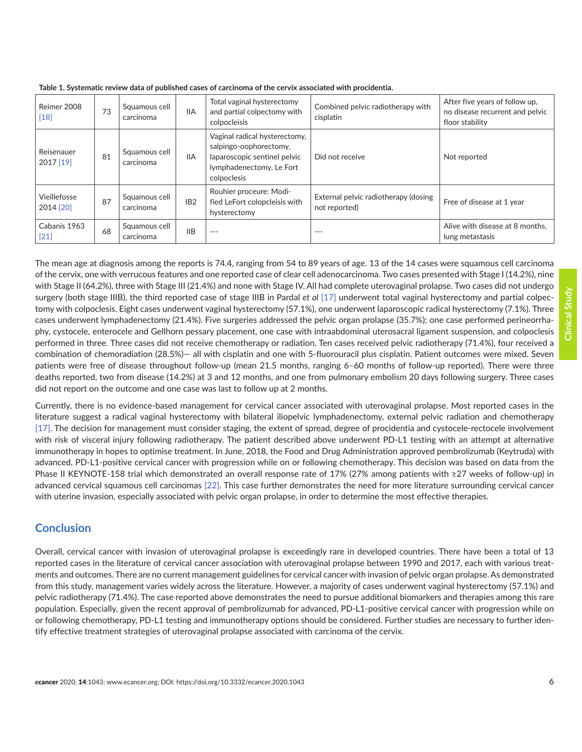| Reimer 2008<br>$[18]$     | 73 | Squamous cell<br>carcinoma | <b>IIA</b>      | Total vaginal hysterectomy<br>and partial colpectomy with<br>colpocleisis                                                          | Combined pelvic radiotherapy with<br>cisplatin        | After five years of follow up,<br>no disease recurrent and pelvic<br>floor stability |
|---------------------------|----|----------------------------|-----------------|------------------------------------------------------------------------------------------------------------------------------------|-------------------------------------------------------|--------------------------------------------------------------------------------------|
| Reisenauer<br>2017 [19]   | 81 | Squamous cell<br>carcinoma | <b>IIA</b>      | Vaginal radical hysterectomy,<br>salpingo-oophorectomy,<br>laparoscopic sentinel pelvic<br>lymphadenectomy, Le Fort<br>colpoclesis | Did not receive                                       | Not reported                                                                         |
| Vieillefosse<br>2014 [20] | 87 | Squamous cell<br>carcinoma | IB <sub>2</sub> | Rouhier proceure: Modi-<br>fied LeFort colopcleisis with<br>hysterectomy                                                           | External pelvic radiotherapy (dosing<br>not reported) | Free of disease at 1 year                                                            |
| Cabanis 1963<br>$[21]$    | 68 | Squamous cell<br>carcinoma | <b>IIB</b>      | $---$                                                                                                                              | $-- -$                                                | Alive with disease at 8 months.<br>lung metastasis                                   |

<span id="page-5-0"></span>**Table 1. Systematic review data of published cases of carcinoma of the cervix associated with procidentia.**

The mean age at diagnosis among the reports is 74.4, ranging from 54 to 89 years of age. 13 of the 14 cases were squamous cell carcinoma of the cervix, one with verrucous features and one reported case of clear cell adenocarcinoma. Two cases presented with Stage I (14.2%), nine with Stage II (64.2%), three with Stage III (21.4%) and none with Stage IV. All had complete uterovaginal prolapse. Two cases did not undergo surgery (both stage IIIB), the third reported case of stage IIIB in Pardal *et al* [\[17\]](#page-7-0) underwent total vaginal hysterectomy and partial colpectomy with colpoclesis. Eight cases underwent vaginal hysterectomy (57.1%), one underwent laparoscopic radical hysterectomy (7.1%). Three cases underwent lymphadenectomy (21.4%). Five surgeries addressed the pelvic organ prolapse (35.7%); one case performed perineorrhaphy, cystocele, enterocele and Gellhorn pessary placement, one case with intraabdominal uterosacral ligament suspension, and colpoclesis performed in three. Three cases did not receive chemotherapy or radiation. Ten cases received pelvic radiotherapy (71.4%), four received a combination of chemoradiation (28.5%)— all with cisplatin and one with 5-fluorouracil plus cisplatin. Patient outcomes were mixed. Seven patients were free of disease throughout follow-up (mean 21.5 months, ranging 6–60 months of follow-up reported). There were three deaths reported, two from disease (14.2%) at 3 and 12 months, and one from pulmonary embolism 20 days following surgery. Three cases did not report on the outcome and one case was last to follow up at 2 months.

Currently, there is no evidence-based management for cervical cancer associated with uterovaginal prolapse. Most reported cases in the literature suggest a radical vaginal hysterectomy with bilateral iliopelvic lymphadenectomy, external pelvic radiation and chemotherapy [\[17\].](#page-7-0) The decision for management must consider staging, the extent of spread, degree of procidentia and cystocele-rectocele involvement with risk of visceral injury following radiotherapy. The patient described above underwent PD-L1 testing with an attempt at alternative immunotherapy in hopes to optimise treatment. In June, 2018, the Food and Drug Administration approved pembrolizumab (Keytruda) with advanced, PD-L1-positive cervical cancer with progression while on or following chemotherapy. This decision was based on data from the Phase II KEYNOTE-158 trial which demonstrated an overall response rate of 17% (27% among patients with ≥27 weeks of follow-up) in advanced cervical squamous cell carcinomas [\[22\].](#page-7-0) This case further demonstrates the need for more literature surrounding cervical cancer with uterine invasion, especially associated with pelvic organ prolapse, in order to determine the most effective therapies.

# **Conclusion**

Overall, cervical cancer with invasion of uterovaginal prolapse is exceedingly rare in developed countries. There have been a total of 13 reported cases in the literature of cervical cancer association with uterovaginal prolapse between 1990 and 2017, each with various treatments and outcomes. There are no current management guidelines for cervical cancer with invasion of pelvic organ prolapse. As demonstrated from this study, management varies widely across the literature. However, a majority of cases underwent vaginal hysterectomy (57.1%) and pelvic radiotherapy (71.4%). The case reported above demonstrates the need to pursue additional biomarkers and therapies among this rare population. Especially, given the recent approval of pembrolizumab for advanced, PD-L1-positive cervical cancer with progression while on or following chemotherapy, PD-L1 testing and immunotherapy options should be considered. Further studies are necessary to further identify effective treatment strategies of uterovaginal prolapse associated with carcinoma of the cervix.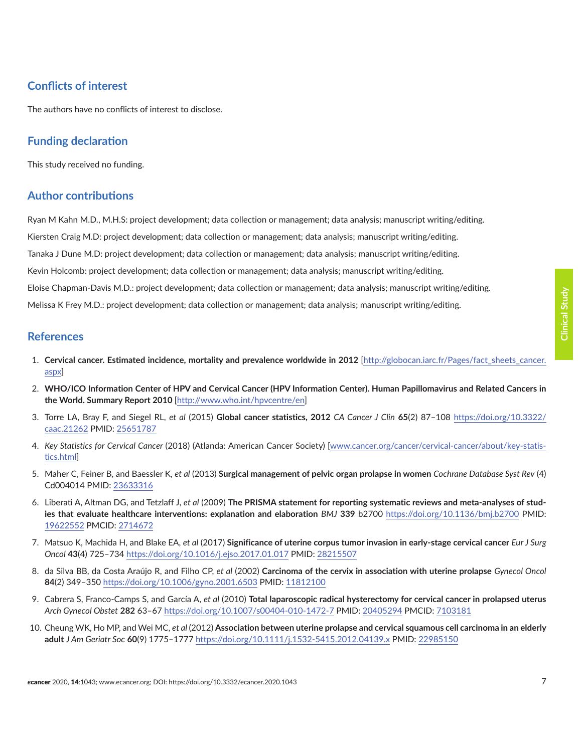# <span id="page-6-0"></span>**Conflicts of interest**

The authors have no conflicts of interest to disclose.

# **Funding declaration**

This study received no funding.

# **Author contributions**

Ryan M Kahn M.D., M.H.S: project development; data collection or management; data analysis; manuscript writing/editing. Kiersten Craig M.D: project development; data collection or management; data analysis; manuscript writing/editing. Tanaka J Dune M.D: project development; data collection or management; data analysis; manuscript writing/editing. Kevin Holcomb: project development; data collection or management; data analysis; manuscript writing/editing. Eloise Chapman-Davis M.D.: project development; data collection or management; data analysis; manuscript writing/editing. Melissa K Frey M.D.: project development; data collection or management; data analysis; manuscript writing/editing.

#### **References**

- 1. **Cervical cancer. Estimated incidence, mortality and prevalence worldwide in 2012** [[http://globocan.iarc.fr/Pages/fact\\_sheets\\_cancer.](http://globocan.iarc.fr/Pages/fact_sheets_cancer.aspx ) [aspx\]](http://globocan.iarc.fr/Pages/fact_sheets_cancer.aspx )
- 2. **WHO/ICO Information Center of HPV and Cervical Cancer (HPV Information Center). Human Papillomavirus and Related Cancers in the World. Summary Report 2010** [\[http://www.who.int/hpvcentre/en](http://www.who.int/hpvcentre/en )]
- 3. Torre LA, Bray F, and Siegel RL, *et al* (2015) **Global cancer statistics, 2012** *CA Cancer J Clin* **65**(2) 87–108 [https://doi.org/10.3322/](https://doi.org/10.3322/caac.21262 ) [caac.21262](https://doi.org/10.3322/caac.21262 ) PMID: [25651787](http://www.ncbi.nlm.nih.gov/pubmed/25651787)
- 4. *Key Statistics for Cervical Cancer* (2018) (Atlanda: American Cancer Society) [\[www.cancer.org/cancer/cervical-cancer/about/key-statis](file:///C:\Users\ryanmatthewkahn\Desktop\eCancer Proceidentia\www.cancer.org\cancer\cervical-cancer\about\key-statistics.html)[tics.html](file:///C:\Users\ryanmatthewkahn\Desktop\eCancer Proceidentia\www.cancer.org\cancer\cervical-cancer\about\key-statistics.html)]
- 5. Maher C, Feiner B, and Baessler K, *et al* (2013) **Surgical management of pelvic organ prolapse in women** *Cochrane Database Syst Rev* (4) Cd004014 PMID: [23633316](http://www.ncbi.nlm.nih.gov/pubmed/23633316)
- 6. Liberati A, Altman DG, and Tetzlaff J, *et al* (2009) **The PRISMA statement for reporting systematic reviews and meta-analyses of studies that evaluate healthcare interventions: explanation and elaboration** *BMJ* **339** b2700 [https://doi.org/10.1136/bmj.b2700](https://doi.org/10.1136/bmj.b2700 ) PMID: [19622552](http://www.ncbi.nlm.nih.gov/pubmed/19622552) PMCID: [2714672](http://www.ncbi.nlm.nih.gov/pmc/articles/PMC2714672)
- 7. Matsuo K, Machida H, and Blake EA, *et al* (2017) **Significance of uterine corpus tumor invasion in early-stage cervical cancer** *Eur J Surg Oncol* **43**(4) 725–734 [https://doi.org/10.1016/j.ejso.2017.01.017](https://doi.org/10.1016/j.ejso.2017.01.017 ) PMID: [28215507](http://www.ncbi.nlm.nih.gov/pubmed/28215507)
- 8. da Silva BB, da Costa Araújo R, and Filho CP, *et al* (2002) **Carcinoma of the cervix in association with uterine prolapse** *Gynecol Oncol* **84**(2) 349–350 [https://doi.org/10.1006/gyno.2001.6503](https://doi.org/10.1006/gyno.2001.6503 ) PMID: [11812100](http://www.ncbi.nlm.nih.gov/pubmed/11812100)
- 9. Cabrera S, Franco-Camps S, and García A, *et al* (2010) **Total laparoscopic radical hysterectomy for cervical cancer in prolapsed uterus** *Arch Gynecol Obstet* **282** 63–67 [https://doi.org/10.1007/s00404-010-1472-7](https://doi.org/10.1007/s00404-010-1472-7 ) PMID: [20405294](http://www.ncbi.nlm.nih.gov/pubmed/20405294) PMCID: [7103181](http://www.ncbi.nlm.nih.gov/pmc/articles/PMC7103181)
- 10. Cheung WK, Ho MP, and Wei MC, *et al* (2012) **Association between uterine prolapse and cervical squamous cell carcinoma in an elderly adult** *J Am Geriatr Soc* **60**(9) 1775–1777 [https://doi.org/10.1111/j.1532-5415.2012.04139.x](https://doi.org/10.1111/j.1532-5415.2012.04139.x ) PMID: [22985150](http://www.ncbi.nlm.nih.gov/pubmed/22985150)